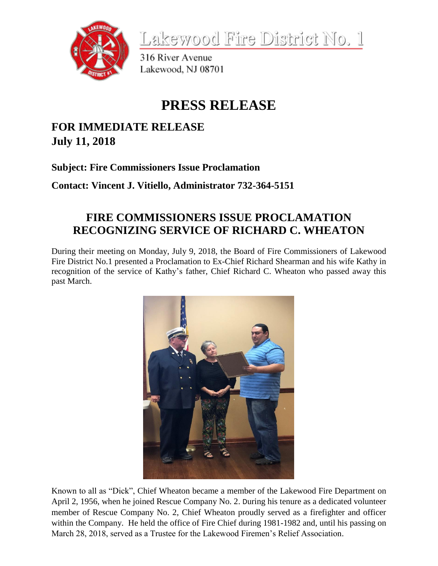

Lakewood Fire District No. 1

316 River Avenue Lakewood, NJ 08701

## **PRESS RELEASE**

## **FOR IMMEDIATE RELEASE July 11, 2018**

**Subject: Fire Commissioners Issue Proclamation**

**Contact: Vincent J. Vitiello, Administrator 732-364-5151**

## **FIRE COMMISSIONERS ISSUE PROCLAMATION RECOGNIZING SERVICE OF RICHARD C. WHEATON**

During their meeting on Monday, July 9, 2018, the Board of Fire Commissioners of Lakewood Fire District No.1 presented a Proclamation to Ex-Chief Richard Shearman and his wife Kathy in recognition of the service of Kathy's father, Chief Richard C. Wheaton who passed away this past March.



Known to all as "Dick", Chief Wheaton became a member of the Lakewood Fire Department on April 2, 1956, when he joined Rescue Company No. 2. During his tenure as a dedicated volunteer member of Rescue Company No. 2, Chief Wheaton proudly served as a firefighter and officer within the Company. He held the office of Fire Chief during 1981-1982 and, until his passing on March 28, 2018, served as a Trustee for the Lakewood Firemen's Relief Association.